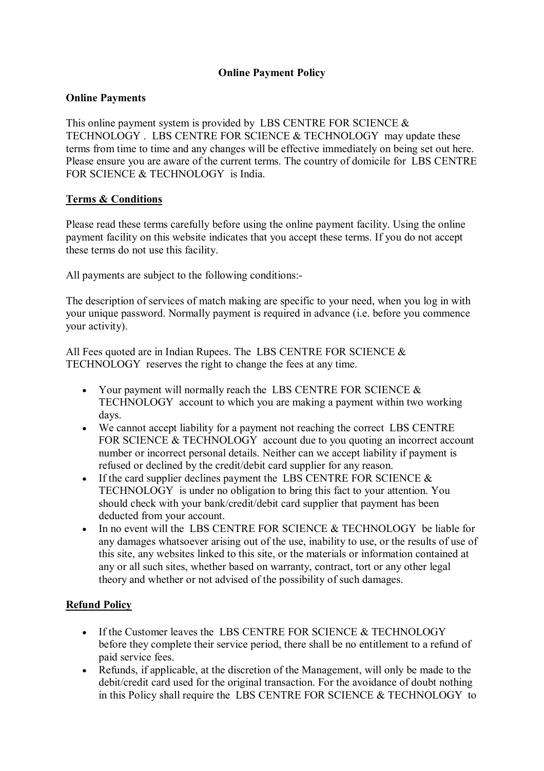# **Online Payment Policy**

### **Online Payments**

This online payment system is provided by LBS CENTRE FOR SCIENCE & TECHNOLOGY . LBS CENTRE FOR SCIENCE & TECHNOLOGY may update these terms from time to time and any changes will be effective immediately on being set out here. Please ensure you are aware of the current terms. The country of domicile for LBS CENTRE FOR SCIENCE & TECHNOLOGY is India.

### **Terms & Conditions**

Please read these terms carefully before using the online payment facility. Using the online payment facility on this website indicates that you accept these terms. If you do not accept these terms do not use this facility.

All payments are subject to the following conditions:-

The description of services of match making are specific to your need, when you log in with your unique password. Normally payment is required in advance (i.e. before you commence your activity).

All Fees quoted are in Indian Rupees. The LBS CENTRE FOR SCIENCE  $\&$ TECHNOLOGY reserves the right to change the fees at any time.

- Your payment will normally reach the LBS CENTRE FOR SCIENCE  $\&$ TECHNOLOGY account to which you are making a payment within two working days.
- We cannot accept liability for a payment not reaching the correct LBS CENTRE FOR SCIENCE & TECHNOLOGY account due to you quoting an incorrect account number or incorrect personal details. Neither can we accept liability if payment is refused or declined by the credit/debit card supplier for any reason.
- If the card supplier declines payment the LBS CENTRE FOR SCIENCE  $\&$ TECHNOLOGY is under no obligation to bring this fact to your attention. You should check with your bank/credit/debit card supplier that payment has been deducted from your account.
- $\bullet$  In no event will the LBS CENTRE FOR SCIENCE & TECHNOLOGY be liable for any damages whatsoever arising out of the use, inability to use, or the results of use of this site, any websites linked to this site, or the materials or information contained at any or all such sites, whether based on warranty, contract, tort or any other legal theory and whether or not advised of the possibility of such damages.

# **Refund Policy**

- If the Customer leaves the LBS CENTRE FOR SCIENCE & TECHNOLOGY before they complete their service period, there shall be no entitlement to a refund of paid service fees.
- Refunds, if applicable, at the discretion of the Management, will only be made to the debit/credit card used for the original transaction. For the avoidance of doubt nothing in this Policy shall require the LBS CENTRE FOR SCIENCE & TECHNOLOGY to